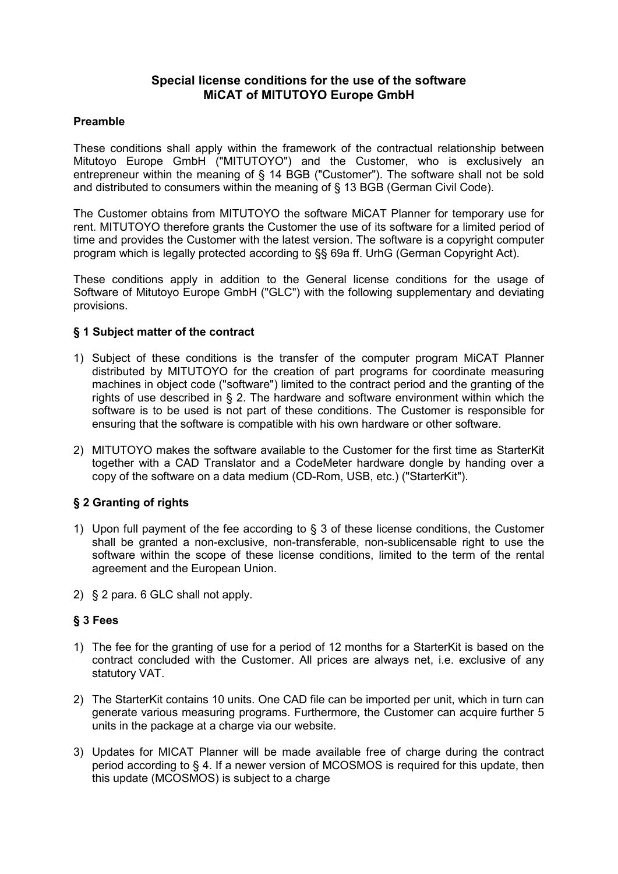# **Special license conditions for the use of the software MiCAT of MITUTOYO Europe GmbH**

## **Preamble**

These conditions shall apply within the framework of the contractual relationship between Mitutoyo Europe GmbH ("MITUTOYO") and the Customer, who is exclusively an entrepreneur within the meaning of § 14 BGB ("Customer"). The software shall not be sold and distributed to consumers within the meaning of § 13 BGB (German Civil Code).

The Customer obtains from MITUTOYO the software MiCAT Planner for temporary use for rent. MITUTOYO therefore grants the Customer the use of its software for a limited period of time and provides the Customer with the latest version. The software is a copyright computer program which is legally protected according to §§ 69a ff. UrhG (German Copyright Act).

These conditions apply in addition to the General license conditions for the usage of Software of Mitutoyo Europe GmbH ("GLC") with the following supplementary and deviating provisions.

## **§ 1 Subject matter of the contract**

- 1) Subject of these conditions is the transfer of the computer program MiCAT Planner distributed by MITUTOYO for the creation of part programs for coordinate measuring machines in object code ("software") limited to the contract period and the granting of the rights of use described in § 2. The hardware and software environment within which the software is to be used is not part of these conditions. The Customer is responsible for ensuring that the software is compatible with his own hardware or other software.
- 2) MITUTOYO makes the software available to the Customer for the first time as StarterKit together with a CAD Translator and a CodeMeter hardware dongle by handing over a copy of the software on a data medium (CD-Rom, USB, etc.) ("StarterKit").

## **§ 2 Granting of rights**

- 1) Upon full payment of the fee according to  $\S$  3 of these license conditions, the Customer shall be granted a non-exclusive, non-transferable, non-sublicensable right to use the software within the scope of these license conditions, limited to the term of the rental agreement and the European Union.
- 2) § 2 para. 6 GLC shall not apply.

#### **§ 3 Fees**

- 1) The fee for the granting of use for a period of 12 months for a StarterKit is based on the contract concluded with the Customer. All prices are always net, i.e. exclusive of any statutory VAT.
- 2) The StarterKit contains 10 units. One CAD file can be imported per unit, which in turn can generate various measuring programs. Furthermore, the Customer can acquire further 5 units in the package at a charge via our website.
- 3) Updates for MICAT Planner will be made available free of charge during the contract period according to § 4. If a newer version of MCOSMOS is required for this update, then this update (MCOSMOS) is subject to a charge